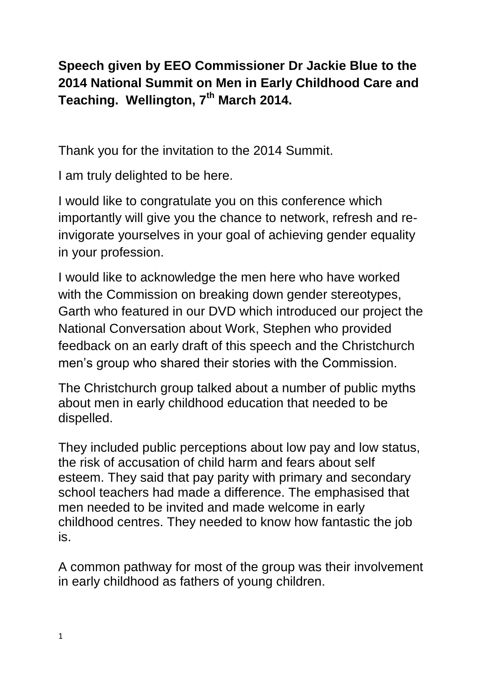**Speech given by EEO Commissioner Dr Jackie Blue to the 2014 National Summit on Men in Early Childhood Care and Teaching. Wellington, 7th March 2014.**

Thank you for the invitation to the 2014 Summit.

I am truly delighted to be here.

I would like to congratulate you on this conference which importantly will give you the chance to network, refresh and reinvigorate yourselves in your goal of achieving gender equality in your profession.

I would like to acknowledge the men here who have worked with the Commission on breaking down gender stereotypes, Garth who featured in our DVD which introduced our project the National Conversation about Work, Stephen who provided feedback on an early draft of this speech and the Christchurch men's group who shared their stories with the Commission.

The Christchurch group talked about a number of public myths about men in early childhood education that needed to be dispelled.

They included public perceptions about low pay and low status, the risk of accusation of child harm and fears about self esteem. They said that pay parity with primary and secondary school teachers had made a difference. The emphasised that men needed to be invited and made welcome in early childhood centres. They needed to know how fantastic the job is.

A common pathway for most of the group was their involvement in early childhood as fathers of young children.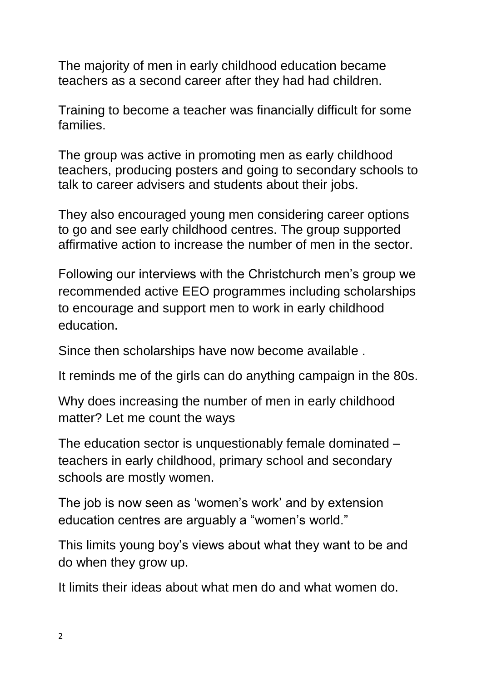The majority of men in early childhood education became teachers as a second career after they had had children.

Training to become a teacher was financially difficult for some families.

The group was active in promoting men as early childhood teachers, producing posters and going to secondary schools to talk to career advisers and students about their jobs.

They also encouraged young men considering career options to go and see early childhood centres. The group supported affirmative action to increase the number of men in the sector.

Following our interviews with the Christchurch men's group we recommended active EEO programmes including scholarships to encourage and support men to work in early childhood education.

Since then scholarships have now become available .

It reminds me of the girls can do anything campaign in the 80s.

Why does increasing the number of men in early childhood matter? Let me count the ways

The education sector is unquestionably female dominated – teachers in early childhood, primary school and secondary schools are mostly women.

The job is now seen as 'women's work' and by extension education centres are arguably a "women's world."

This limits young boy's views about what they want to be and do when they grow up.

It limits their ideas about what men do and what women do.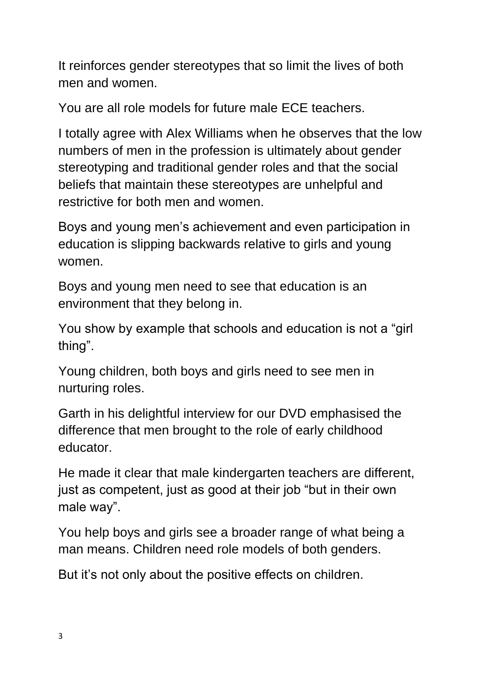It reinforces gender stereotypes that so limit the lives of both men and women.

You are all role models for future male ECE teachers.

I totally agree with Alex Williams when he observes that the low numbers of men in the profession is ultimately about gender stereotyping and traditional gender roles and that the social beliefs that maintain these stereotypes are unhelpful and restrictive for both men and women.

Boys and young men's achievement and even participation in education is slipping backwards relative to girls and young women.

Boys and young men need to see that education is an environment that they belong in.

You show by example that schools and education is not a "girl thing".

Young children, both boys and girls need to see men in nurturing roles.

Garth in his delightful interview for our DVD emphasised the difference that men brought to the role of early childhood educator.

He made it clear that male kindergarten teachers are different, just as competent, just as good at their job "but in their own male way".

You help boys and girls see a broader range of what being a man means. Children need role models of both genders.

But it's not only about the positive effects on children.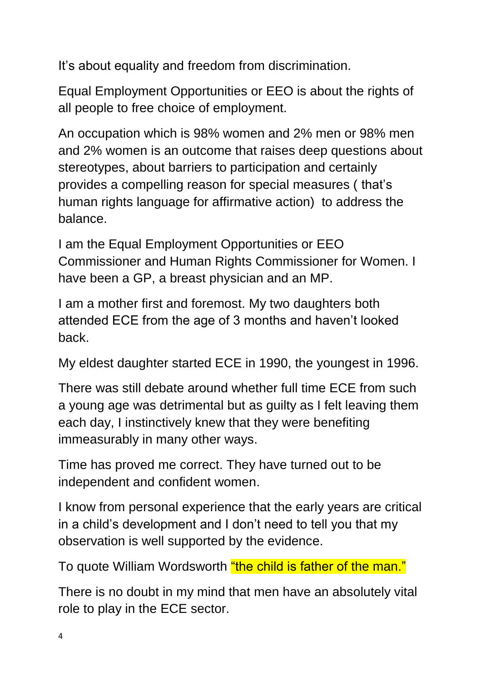It's about equality and freedom from discrimination.

Equal Employment Opportunities or EEO is about the rights of all people to free choice of employment.

An occupation which is 98% women and 2% men or 98% men and 2% women is an outcome that raises deep questions about stereotypes, about barriers to participation and certainly provides a compelling reason for special measures ( that's human rights language for affirmative action) to address the balance.

I am the Equal Employment Opportunities or EEO Commissioner and Human Rights Commissioner for Women. I have been a GP, a breast physician and an MP.

I am a mother first and foremost. My two daughters both attended ECE from the age of 3 months and haven't looked back.

My eldest daughter started ECE in 1990, the youngest in 1996.

There was still debate around whether full time ECE from such a young age was detrimental but as guilty as I felt leaving them each day, I instinctively knew that they were benefiting immeasurably in many other ways.

Time has proved me correct. They have turned out to be independent and confident women.

I know from personal experience that the early years are critical in a child's development and I don't need to tell you that my observation is well supported by the evidence.

To quote William Wordsworth "the child is father of the man."

There is no doubt in my mind that men have an absolutely vital role to play in the ECE sector.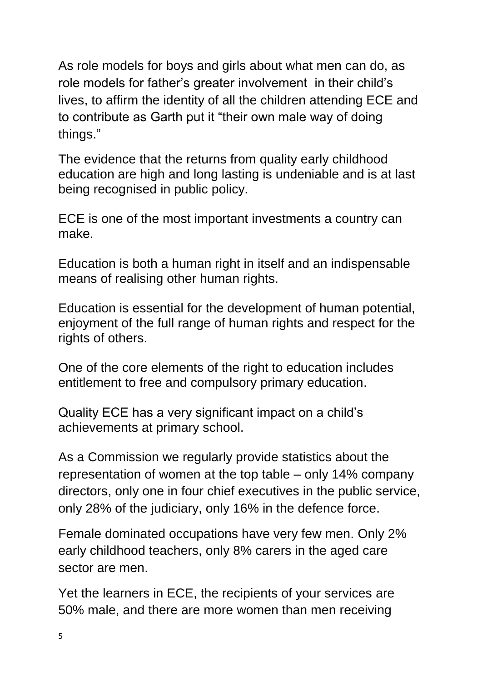As role models for boys and girls about what men can do, as role models for father's greater involvement in their child's lives, to affirm the identity of all the children attending ECE and to contribute as Garth put it "their own male way of doing things."

The evidence that the returns from quality early childhood education are high and long lasting is undeniable and is at last being recognised in public policy.

ECE is one of the most important investments a country can make.

Education is both a human right in itself and an indispensable means of realising other human rights.

Education is essential for the development of human potential, enjoyment of the full range of human rights and respect for the rights of others.

One of the core elements of the right to education includes entitlement to free and compulsory primary education.

Quality ECE has a very significant impact on a child's achievements at primary school.

As a Commission we regularly provide statistics about the representation of women at the top table – only 14% company directors, only one in four chief executives in the public service, only 28% of the judiciary, only 16% in the defence force.

Female dominated occupations have very few men. Only 2% early childhood teachers, only 8% carers in the aged care sector are men.

Yet the learners in ECE, the recipients of your services are 50% male, and there are more women than men receiving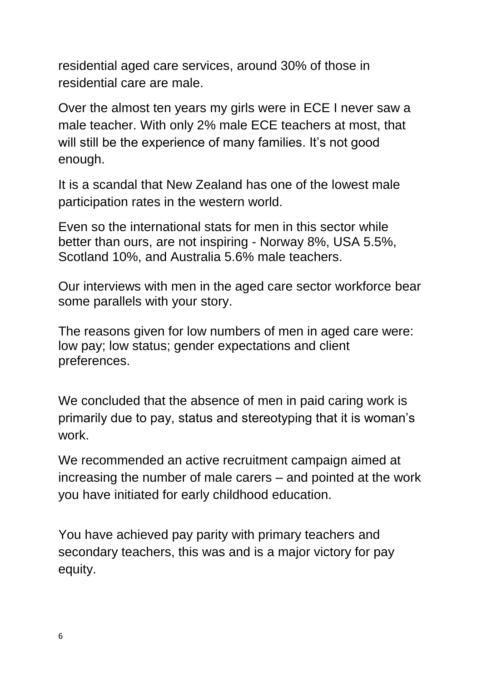residential aged care services, around 30% of those in residential care are male.

Over the almost ten years my girls were in ECE I never saw a male teacher. With only 2% male ECE teachers at most, that will still be the experience of many families. It's not good enough.

It is a scandal that New Zealand has one of the lowest male participation rates in the western world.

Even so the international stats for men in this sector while better than ours, are not inspiring - Norway 8%, USA 5.5%, Scotland 10%, and Australia 5.6% male teachers.

Our interviews with men in the aged care sector workforce bear some parallels with your story.

The reasons given for low numbers of men in aged care were: low pay; low status; gender expectations and client preferences.

We concluded that the absence of men in paid caring work is primarily due to pay, status and stereotyping that it is woman's work.

We recommended an active recruitment campaign aimed at increasing the number of male carers – and pointed at the work you have initiated for early childhood education.

You have achieved pay parity with primary teachers and secondary teachers, this was and is a major victory for pay equity.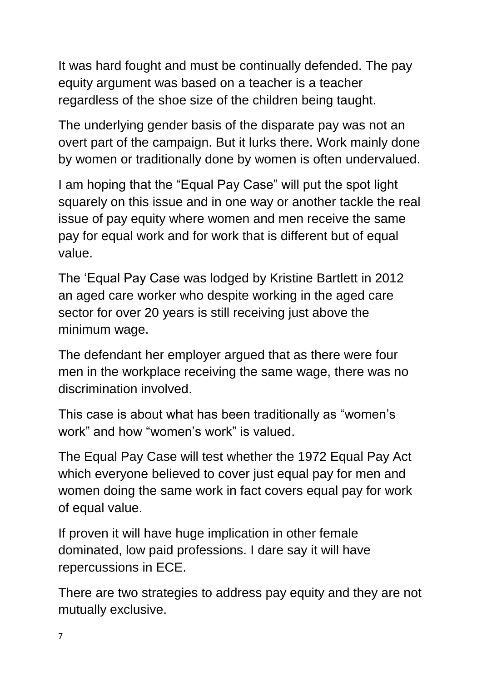It was hard fought and must be continually defended. The pay equity argument was based on a teacher is a teacher regardless of the shoe size of the children being taught.

The underlying gender basis of the disparate pay was not an overt part of the campaign. But it lurks there. Work mainly done by women or traditionally done by women is often undervalued.

I am hoping that the "Equal Pay Case" will put the spot light squarely on this issue and in one way or another tackle the real issue of pay equity where women and men receive the same pay for equal work and for work that is different but of equal value.

The 'Equal Pay Case was lodged by Kristine Bartlett in 2012 an aged care worker who despite working in the aged care sector for over 20 years is still receiving just above the minimum wage.

The defendant her employer argued that as there were four men in the workplace receiving the same wage, there was no discrimination involved.

This case is about what has been traditionally as "women's work" and how "women's work" is valued.

The Equal Pay Case will test whether the 1972 Equal Pay Act which everyone believed to cover just equal pay for men and women doing the same work in fact covers equal pay for work of equal value.

If proven it will have huge implication in other female dominated, low paid professions. I dare say it will have repercussions in ECE.

There are two strategies to address pay equity and they are not mutually exclusive.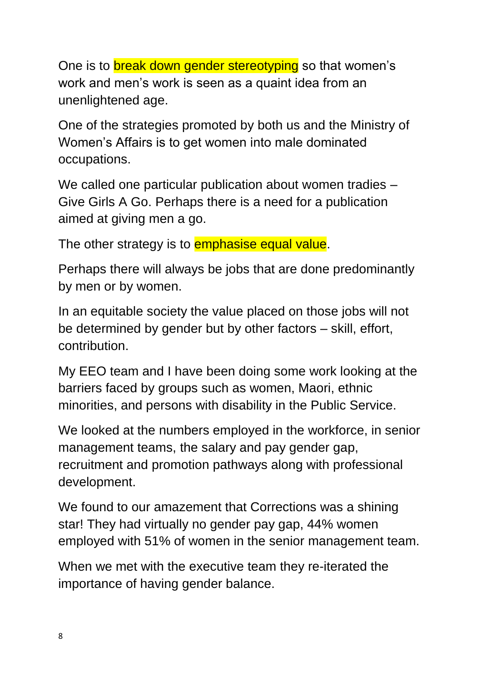One is to break down gender stereotyping so that women's work and men's work is seen as a quaint idea from an unenlightened age.

One of the strategies promoted by both us and the Ministry of Women's Affairs is to get women into male dominated occupations.

We called one particular publication about women tradies – Give Girls A Go. Perhaps there is a need for a publication aimed at giving men a go.

The other strategy is to **emphasise equal value**.

Perhaps there will always be jobs that are done predominantly by men or by women.

In an equitable society the value placed on those jobs will not be determined by gender but by other factors – skill, effort, contribution.

My EEO team and I have been doing some work looking at the barriers faced by groups such as women, Maori, ethnic minorities, and persons with disability in the Public Service.

We looked at the numbers employed in the workforce, in senior management teams, the salary and pay gender gap, recruitment and promotion pathways along with professional development.

We found to our amazement that Corrections was a shining star! They had virtually no gender pay gap, 44% women employed with 51% of women in the senior management team.

When we met with the executive team they re-iterated the importance of having gender balance.